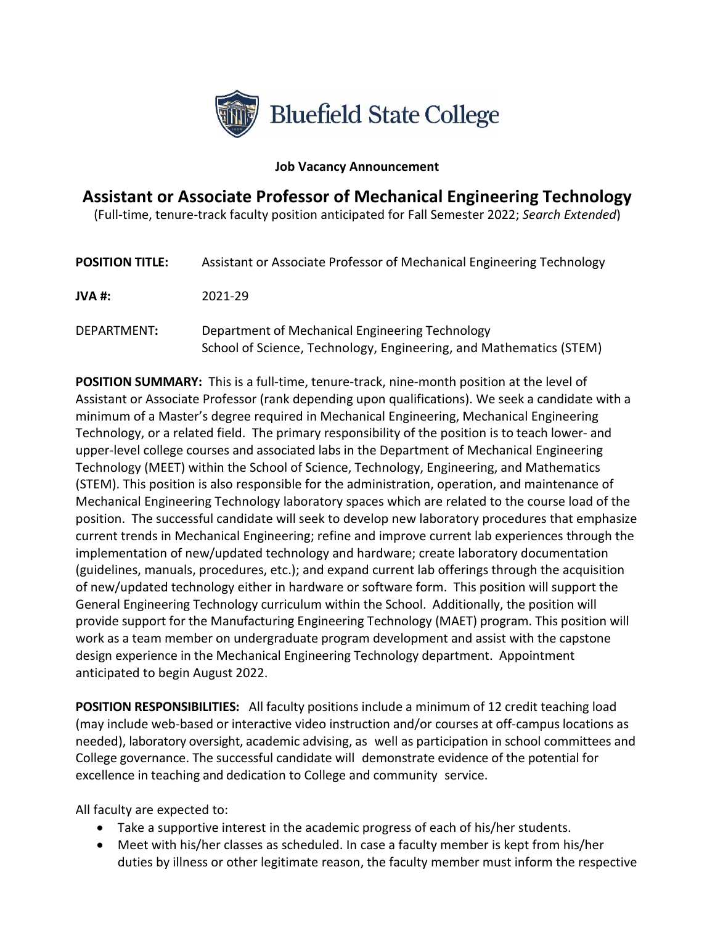

## **Job Vacancy Announcement**

## **Assistant or Associate Professor of Mechanical Engineering Technology**

(Full-time, tenure-track faculty position anticipated for Fall Semester 2022; *Search Extended*)

| <b>POSITION TITLE:</b> | Assistant or Associate Professor of Mechanical Engineering Technology                                                 |
|------------------------|-----------------------------------------------------------------------------------------------------------------------|
| JVA #:                 | 2021-29                                                                                                               |
| DEPARTMENT:            | Department of Mechanical Engineering Technology<br>School of Science, Technology, Engineering, and Mathematics (STEM) |

**POSITION SUMMARY:** This is a full-time, tenure-track, nine-month position at the level of Assistant or Associate Professor (rank depending upon qualifications). We seek a candidate with a minimum of a Master's degree required in Mechanical Engineering, Mechanical Engineering Technology, or a related field. The primary responsibility of the position is to teach lower- and upper-level college courses and associated labs in the Department of Mechanical Engineering Technology (MEET) within the School of Science, Technology, Engineering, and Mathematics (STEM). This position is also responsible for the administration, operation, and maintenance of Mechanical Engineering Technology laboratory spaces which are related to the course load of the position. The successful candidate will seek to develop new laboratory procedures that emphasize current trends in Mechanical Engineering; refine and improve current lab experiences through the implementation of new/updated technology and hardware; create laboratory documentation (guidelines, manuals, procedures, etc.); and expand current lab offerings through the acquisition of new/updated technology either in hardware or software form. This position will support the General Engineering Technology curriculum within the School. Additionally, the position will provide support for the Manufacturing Engineering Technology (MAET) program. This position will work as a team member on undergraduate program development and assist with the capstone design experience in the Mechanical Engineering Technology department. Appointment anticipated to begin August 2022.

**POSITION RESPONSIBILITIES:** All faculty positions include a minimum of 12 credit teaching load (may include web-based or interactive video instruction and/or courses at off-campus locations as needed), laboratory oversight, academic advising, as well as participation in school committees and College governance. The successful candidate will demonstrate evidence of the potential for excellence in teaching and dedication to College and community service.

All faculty are expected to:

- Take a supportive interest in the academic progress of each of his/her students.
- Meet with his/her classes as scheduled. In case a faculty member is kept from his/her duties by illness or other legitimate reason, the faculty member must inform the respective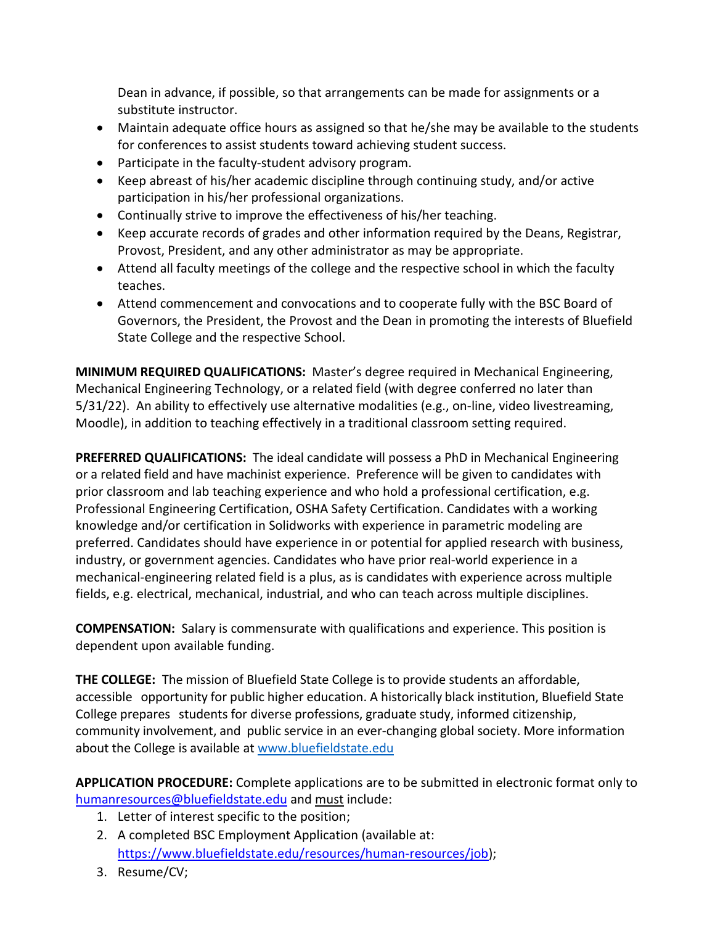Dean in advance, if possible, so that arrangements can be made for assignments or a substitute instructor.

- Maintain adequate office hours as assigned so that he/she may be available to the students for conferences to assist students toward achieving student success.
- Participate in the faculty-student advisory program.
- Keep abreast of his/her academic discipline through continuing study, and/or active participation in his/her professional organizations.
- Continually strive to improve the effectiveness of his/her teaching.
- Keep accurate records of grades and other information required by the Deans, Registrar, Provost, President, and any other administrator as may be appropriate.
- Attend all faculty meetings of the college and the respective school in which the faculty teaches.
- Attend commencement and convocations and to cooperate fully with the BSC Board of Governors, the President, the Provost and the Dean in promoting the interests of Bluefield State College and the respective School.

**MINIMUM REQUIRED QUALIFICATIONS:** Master's degree required in Mechanical Engineering, Mechanical Engineering Technology, or a related field (with degree conferred no later than 5/31/22). An ability to effectively use alternative modalities (e.g., on-line, video livestreaming, Moodle), in addition to teaching effectively in a traditional classroom setting required.

**PREFERRED QUALIFICATIONS:** The ideal candidate will possess a PhD in Mechanical Engineering or a related field and have machinist experience.Preference will be given to candidates with prior classroom and lab teaching experience and who hold a professional certification, e.g. Professional Engineering Certification, OSHA Safety Certification. Candidates with a working knowledge and/or certification in Solidworks with experience in parametric modeling are preferred. Candidates should have experience in or potential for applied research with business, industry, or government agencies. Candidates who have prior real-world experience in a mechanical-engineering related field is a plus, as is candidates with experience across multiple fields, e.g. electrical, mechanical, industrial, and who can teach across multiple disciplines.

**COMPENSATION:** Salary is commensurate with qualifications and experience. This position is dependent upon available funding.

**THE COLLEGE:** The mission of Bluefield State College isto provide students an affordable, accessible opportunity for public higher education. A historically black institution, Bluefield State College prepares students for diverse professions, graduate study, informed citizenship, community involvement, and public service in an ever-changing global society. More information about the College is available a[t www.bluefieldstate.edu](http://www.bluefieldstate.edu/)

**APPLICATION PROCEDURE:** Complete applications are to be submitted in electronic format only to [humanresources@bluefieldstate.edu](mailto:humanresources@bluefieldstate.edu) and must include:

- 1. Letter of interest specific to the position;
- 2. A completed BSC Employment Application (available at: [https://www.bluefieldstate.edu/resources/human-resources/job\)](https://www.bluefieldstate.edu/resources/human-resources/job);
- 3. Resume/CV;